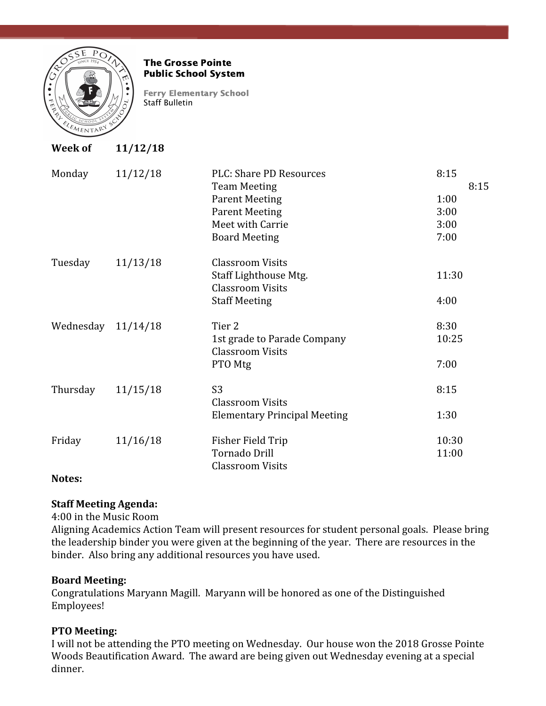

#### The Grosse Pointe Public School System

Ferry Elementary School Staff Bulletin

| <b>Week of</b> | 11/12/18 |                                                                                                                                              |                                              |
|----------------|----------|----------------------------------------------------------------------------------------------------------------------------------------------|----------------------------------------------|
| Monday         | 11/12/18 | PLC: Share PD Resources<br><b>Team Meeting</b><br><b>Parent Meeting</b><br><b>Parent Meeting</b><br>Meet with Carrie<br><b>Board Meeting</b> | 8:15<br>8:15<br>1:00<br>3:00<br>3:00<br>7:00 |
| Tuesday        | 11/13/18 | <b>Classroom Visits</b><br>Staff Lighthouse Mtg.<br><b>Classroom Visits</b><br><b>Staff Meeting</b>                                          | 11:30<br>4:00                                |
| Wednesday      | 11/14/18 | Tier <sub>2</sub><br>1st grade to Parade Company<br><b>Classroom Visits</b><br>PTO Mtg                                                       | 8:30<br>10:25<br>7:00                        |
| Thursday       | 11/15/18 | S <sub>3</sub><br><b>Classroom Visits</b><br><b>Elementary Principal Meeting</b>                                                             | 8:15<br>1:30                                 |
| Friday         | 11/16/18 | Fisher Field Trip<br><b>Tornado Drill</b><br><b>Classroom Visits</b>                                                                         | 10:30<br>11:00                               |

## **Notes:**

## **Staff Meeting Agenda:**

4:00 in the Music Room

Aligning Academics Action Team will present resources for student personal goals. Please bring the leadership binder you were given at the beginning of the year. There are resources in the binder. Also bring any additional resources you have used.

## **Board Meeting:**

Congratulations Maryann Magill. Maryann will be honored as one of the Distinguished Employees!

# **PTO Meeting:**

I will not be attending the PTO meeting on Wednesday. Our house won the 2018 Grosse Pointe Woods Beautification Award. The award are being given out Wednesday evening at a special dinner.